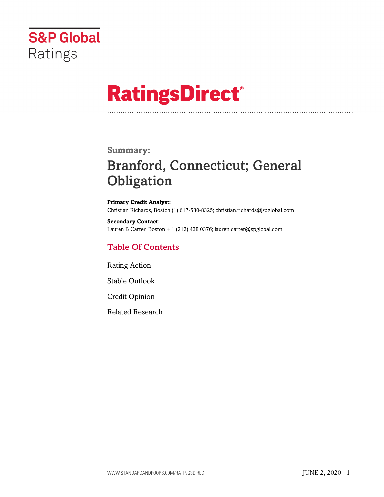

# **RatingsDirect®**

### **Summary:**

# Branford, Connecticut; General **Obligation**

**Primary Credit Analyst:** Christian Richards, Boston (1) 617-530-8325; christian.richards@spglobal.com

**Secondary Contact:** Lauren B Carter, Boston + 1 (212) 438 0376; lauren.carter@spglobal.com

# Table Of Contents

[Rating Action](#page-1-0)

[Stable Outlook](#page-2-0)

[Credit Opinion](#page-2-1)

[Related Research](#page-6-0)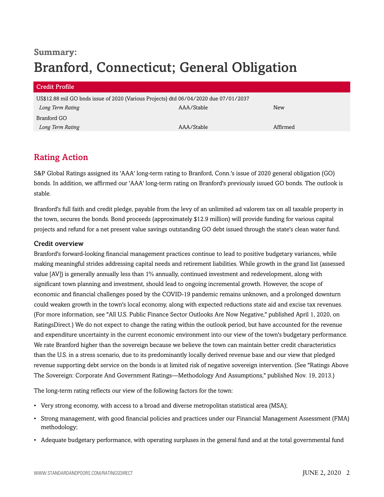# **Summary:** Branford, Connecticut; General Obligation

| <b>Credit Profile</b>                                                                |            |          |
|--------------------------------------------------------------------------------------|------------|----------|
| US\$12.88 mil GO bnds issue of 2020 (Various Projects) dtd 06/04/2020 due 07/01/2037 |            |          |
| Long Term Rating                                                                     | AAA/Stable | New      |
| Branford GO                                                                          |            |          |
| Long Term Rating                                                                     | AAA/Stable | Affirmed |

# <span id="page-1-0"></span>Rating Action

S&P Global Ratings assigned its 'AAA' long-term rating to Branford, Conn.'s issue of 2020 general obligation (GO) bonds. In addition, we affirmed our 'AAA' long-term rating on Branford's previously issued GO bonds. The outlook is stable.

Branford's full faith and credit pledge, payable from the levy of an unlimited ad valorem tax on all taxable property in the town, secures the bonds. Bond proceeds (approximately \$12.9 million) will provide funding for various capital projects and refund for a net present value savings outstanding GO debt issued through the state's clean water fund.

#### Credit overview

Branford's forward-looking financial management practices continue to lead to positive budgetary variances, while making meaningful strides addressing capital needs and retirement liabilities. While growth in the grand list (assessed value [AV]) is generally annually less than 1% annually, continued investment and redevelopment, along with significant town planning and investment, should lead to ongoing incremental growth. However, the scope of economic and financial challenges posed by the COVID-19 pandemic remains unknown, and a prolonged downturn could weaken growth in the town's local economy, along with expected reductions state aid and excise tax revenues. (For more information, see "All U.S. Public Finance Sector Outlooks Are Now Negative," published April 1, 2020, on RatingsDirect.) We do not expect to change the rating within the outlook period, but have accounted for the revenue and expenditure uncertainty in the current economic environment into our view of the town's budgetary performance. We rate Branford higher than the sovereign because we believe the town can maintain better credit characteristics than the U.S. in a stress scenario, due to its predominantly locally derived revenue base and our view that pledged revenue supporting debt service on the bonds is at limited risk of negative sovereign intervention. (See "Ratings Above The Sovereign: Corporate And Government Ratings—Methodology And Assumptions," published Nov. 19, 2013.)

The long-term rating reflects our view of the following factors for the town:

- Very strong economy, with access to a broad and diverse metropolitan statistical area (MSA);
- Strong management, with good financial policies and practices under our Financial Management Assessment (FMA) methodology;
- Adequate budgetary performance, with operating surpluses in the general fund and at the total governmental fund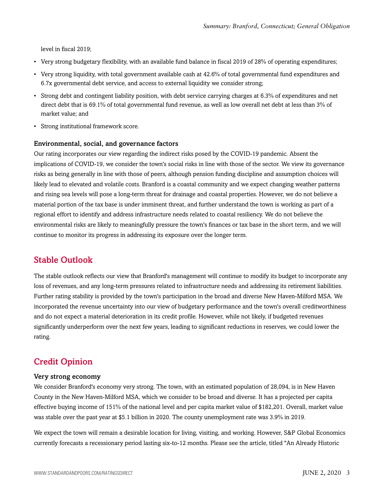level in fiscal 2019;

- Very strong budgetary flexibility, with an available fund balance in fiscal 2019 of 28% of operating expenditures;
- Very strong liquidity, with total government available cash at 42.6% of total governmental fund expenditures and 6.7x governmental debt service, and access to external liquidity we consider strong;
- Strong debt and contingent liability position, with debt service carrying charges at 6.3% of expenditures and net direct debt that is 69.1% of total governmental fund revenue, as well as low overall net debt at less than 3% of market value; and
- Strong institutional framework score.

#### Environmental, social, and governance factors

Our rating incorporates our view regarding the indirect risks posed by the COVID-19 pandemic. Absent the implications of COVID-19, we consider the town's social risks in line with those of the sector. We view its governance risks as being generally in line with those of peers, although pension funding discipline and assumption choices will likely lead to elevated and volatile costs. Branford is a coastal community and we expect changing weather patterns and rising sea levels will pose a long-term threat for drainage and coastal properties. However, we do not believe a material portion of the tax base is under imminent threat, and further understand the town is working as part of a regional effort to identify and address infrastructure needs related to coastal resiliency. We do not believe the environmental risks are likely to meaningfully pressure the town's finances or tax base in the short term, and we will continue to monitor its progress in addressing its exposure over the longer term.

### <span id="page-2-0"></span>Stable Outlook

The stable outlook reflects our view that Branford's management will continue to modify its budget to incorporate any loss of revenues, and any long-term pressures related to infrastructure needs and addressing its retirement liabilities. Further rating stability is provided by the town's participation in the broad and diverse New Haven-Milford MSA. We incorporated the revenue uncertainty into our view of budgetary performance and the town's overall creditworthiness and do not expect a material deterioration in its credit profile. However, while not likely, if budgeted revenues significantly underperform over the next few years, leading to significant reductions in reserves, we could lower the rating.

# <span id="page-2-1"></span>Credit Opinion

#### Very strong economy

We consider Branford's economy very strong. The town, with an estimated population of 28,094, is in New Haven County in the New Haven-Milford MSA, which we consider to be broad and diverse. It has a projected per capita effective buying income of 151% of the national level and per capita market value of \$182,201. Overall, market value was stable over the past year at \$5.1 billion in 2020. The county unemployment rate was 3.9% in 2019.

We expect the town will remain a desirable location for living, visiting, and working. However, S&P Global Economics currently forecasts a recessionary period lasting six-to-12 months. Please see the article, titled "An Already Historic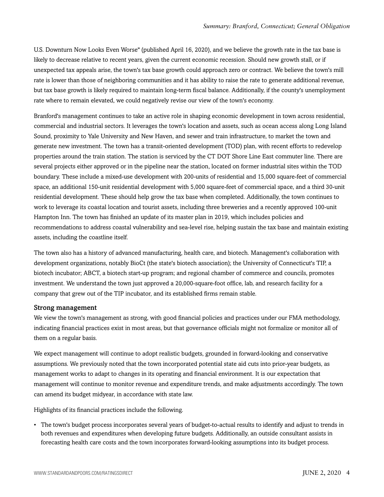U.S. Downturn Now Looks Even Worse" (published April 16, 2020), and we believe the growth rate in the tax base is likely to decrease relative to recent years, given the current economic recession. Should new growth stall, or if unexpected tax appeals arise, the town's tax base growth could approach zero or contract. We believe the town's mill rate is lower than those of neighboring communities and it has ability to raise the rate to generate additional revenue, but tax base growth is likely required to maintain long-term fiscal balance. Additionally, if the county's unemployment rate where to remain elevated, we could negatively revise our view of the town's economy.

Branford's management continues to take an active role in shaping economic development in town across residential, commercial and industrial sectors. It leverages the town's location and assets, such as ocean access along Long Island Sound, proximity to Yale University and New Haven, and sewer and train infrastructure, to market the town and generate new investment. The town has a transit-oriented development (TOD) plan, with recent efforts to redevelop properties around the train station. The station is serviced by the CT DOT Shore Line East commuter line. There are several projects either approved or in the pipeline near the station, located on former industrial sites within the TOD boundary. These include a mixed-use development with 200-units of residential and 15,000 square-feet of commercial space, an additional 150-unit residential development with 5,000 square-feet of commercial space, and a third 30-unit residential development. These should help grow the tax base when completed. Additionally, the town continues to work to leverage its coastal location and tourist assets, including three breweries and a recently approved 100-unit Hampton Inn. The town has finished an update of its master plan in 2019, which includes policies and recommendations to address coastal vulnerability and sea-level rise, helping sustain the tax base and maintain existing assets, including the coastline itself.

The town also has a history of advanced manufacturing, health care, and biotech. Management's collaboration with development organizations, notably BioCt (the state's biotech association); the University of Connecticut's TIP, a biotech incubator; ABCT, a biotech start-up program; and regional chamber of commerce and councils, promotes investment. We understand the town just approved a 20,000-square-foot office, lab, and research facility for a company that grew out of the TIP incubator, and its established firms remain stable.

#### Strong management

We view the town's management as strong, with good financial policies and practices under our FMA methodology, indicating financial practices exist in most areas, but that governance officials might not formalize or monitor all of them on a regular basis.

We expect management will continue to adopt realistic budgets, grounded in forward-looking and conservative assumptions. We previously noted that the town incorporated potential state aid cuts into prior-year budgets, as management works to adapt to changes in its operating and financial environment. It is our expectation that management will continue to monitor revenue and expenditure trends, and make adjustments accordingly. The town can amend its budget midyear, in accordance with state law.

Highlights of its financial practices include the following.

• The town's budget process incorporates several years of budget-to-actual results to identify and adjust to trends in both revenues and expenditures when developing future budgets. Additionally, an outside consultant assists in forecasting health care costs and the town incorporates forward-looking assumptions into its budget process.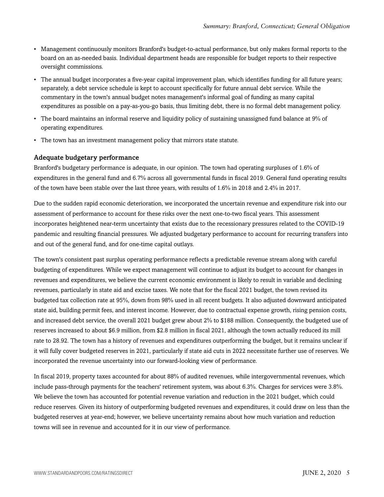- Management continuously monitors Branford's budget-to-actual performance, but only makes formal reports to the board on an as-needed basis. Individual department heads are responsible for budget reports to their respective oversight commissions.
- The annual budget incorporates a five-year capital improvement plan, which identifies funding for all future years; separately, a debt service schedule is kept to account specifically for future annual debt service. While the commentary in the town's annual budget notes management's informal goal of funding as many capital expenditures as possible on a pay-as-you-go basis, thus limiting debt, there is no formal debt management policy.
- The board maintains an informal reserve and liquidity policy of sustaining unassigned fund balance at 9% of operating expenditures.
- The town has an investment management policy that mirrors state statute.

#### Adequate budgetary performance

Branford's budgetary performance is adequate, in our opinion. The town had operating surpluses of 1.6% of expenditures in the general fund and 6.7% across all governmental funds in fiscal 2019. General fund operating results of the town have been stable over the last three years, with results of 1.6% in 2018 and 2.4% in 2017.

Due to the sudden rapid economic deterioration, we incorporated the uncertain revenue and expenditure risk into our assessment of performance to account for these risks over the next one-to-two fiscal years. This assessment incorporates heightened near-term uncertainty that exists due to the recessionary pressures related to the COVID-19 pandemic and resulting financial pressures. We adjusted budgetary performance to account for recurring transfers into and out of the general fund, and for one-time capital outlays.

The town's consistent past surplus operating performance reflects a predictable revenue stream along with careful budgeting of expenditures. While we expect management will continue to adjust its budget to account for changes in revenues and expenditures, we believe the current economic environment is likely to result in variable and declining revenues, particularly in state aid and excise taxes. We note that for the fiscal 2021 budget, the town revised its budgeted tax collection rate at 95%, down from 98% used in all recent budgets. It also adjusted downward anticipated state aid, building permit fees, and interest income. However, due to contractual expense growth, rising pension costs, and increased debt service, the overall 2021 budget grew about 2% to \$188 million. Consequently, the budgeted use of reserves increased to about \$6.9 million, from \$2.8 million in fiscal 2021, although the town actually reduced its mill rate to 28.92. The town has a history of revenues and expenditures outperforming the budget, but it remains unclear if it will fully cover budgeted reserves in 2021, particularly if state aid cuts in 2022 necessitate further use of reserves. We incorporated the revenue uncertainty into our forward-looking view of performance.

In fiscal 2019, property taxes accounted for about 88% of audited revenues, while intergovernmental revenues, which include pass-through payments for the teachers' retirement system, was about 6.3%. Charges for services were 3.8%. We believe the town has accounted for potential revenue variation and reduction in the 2021 budget, which could reduce reserves. Given its history of outperforming budgeted revenues and expenditures, it could draw on less than the budgeted reserves at year-end; however, we believe uncertainty remains about how much variation and reduction towns will see in revenue and accounted for it in our view of performance.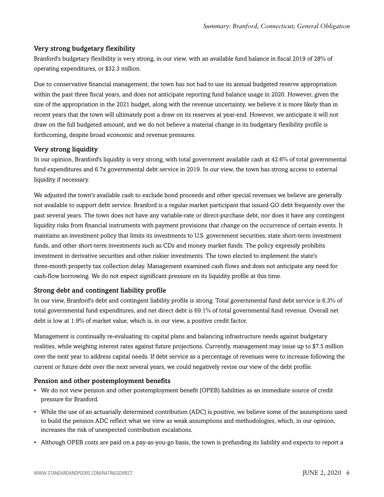#### Very strong budgetary flexibility

Branford's budgetary flexibility is very strong, in our view, with an available fund balance in fiscal 2019 of 28% of operating expenditures, or \$32.3 million.

Due to conservative financial management, the town has not had to use its annual budgeted reserve appropriation within the past three fiscal years, and does not anticipate reporting fund balance usage in 2020. However, given the size of the appropriation in the 2021 budget, along with the revenue uncertainty, we believe it is more likely than in recent years that the town will ultimately post a draw on its reserves at year-end. However, we anticipate it will not draw on the full budgeted amount, and we do not believe a material change in its budgetary flexibility profile is forthcoming, despite broad economic and revenue pressures.

#### Very strong liquidity

In our opinion, Branford's liquidity is very strong, with total government available cash at 42.6% of total governmental fund expenditures and 6.7x governmental debt service in 2019. In our view, the town has strong access to external liquidity if necessary.

We adjusted the town's available cash to exclude bond proceeds and other special revenues we believe are generally not available to support debt service. Branford is a regular market participant that issued GO debt frequently over the past several years. The town does not have any variable-rate or direct-purchase debt, nor does it have any contingent liquidity risks from financial instruments with payment provisions that change on the occurrence of certain events. It maintains an investment policy that limits its investments to U.S. government securities, state short-term investment funds, and other short-term investments such as CDs and money market funds. The policy expressly prohibits investment in derivative securities and other riskier investments. The town elected to implement the state's three-month property tax collection delay. Management examined cash flows and does not anticipate any need for cash-flow borrowing. We do not expect significant pressure on its liquidity profile at this time.

#### Strong debt and contingent liability profile

In our view, Branford's debt and contingent liability profile is strong. Total governmental fund debt service is 6.3% of total governmental fund expenditures, and net direct debt is 69.1% of total governmental fund revenue. Overall net debt is low at 1.9% of market value, which is, in our view, a positive credit factor.

Management is continually re-evaluating its capital plans and balancing infrastructure needs against budgetary realities, while weighing interest rates against future projections. Currently, management may issue up to \$7.5 million over the next year to address capital needs. If debt service as a percentage of revenues were to increase following the current or future debt over the next several years, we could negatively revise our view of the debt profile.

#### Pension and other postemployment benefits

- We do not view pension and other postemployment benefit (OPEB) liabilities as an immediate source of credit pressure for Branford.
- While the use of an actuarially determined contribution (ADC) is positive, we believe some of the assumptions used to build the pension ADC reflect what we view as weak assumptions and methodologies, which, in our opinion, increases the risk of unexpected contribution escalations.
- Although OPEB costs are paid on a pay-as-you-go basis, the town is prefunding its liability and expects to report a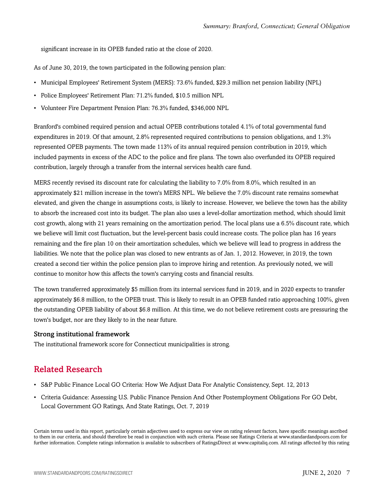significant increase in its OPEB funded ratio at the close of 2020.

As of June 30, 2019, the town participated in the following pension plan:

- Municipal Employees' Retirement System (MERS): 73.6% funded, \$29.3 million net pension liability (NPL)
- Police Employees' Retirement Plan: 71.2% funded, \$10.5 million NPL
- Volunteer Fire Department Pension Plan: 76.3% funded, \$346,000 NPL

Branford's combined required pension and actual OPEB contributions totaled 4.1% of total governmental fund expenditures in 2019. Of that amount, 2.8% represented required contributions to pension obligations, and 1.3% represented OPEB payments. The town made 113% of its annual required pension contribution in 2019, which included payments in excess of the ADC to the police and fire plans. The town also overfunded its OPEB required contribution, largely through a transfer from the internal services health care fund.

MERS recently revised its discount rate for calculating the liability to 7.0% from 8.0%, which resulted in an approximately \$21 million increase in the town's MERS NPL. We believe the 7.0% discount rate remains somewhat elevated, and given the change in assumptions costs, is likely to increase. However, we believe the town has the ability to absorb the increased cost into its budget. The plan also uses a level-dollar amortization method, which should limit cost growth, along with 21 years remaining on the amortization period. The local plans use a 6.5% discount rate, which we believe will limit cost fluctuation, but the level-percent basis could increase costs. The police plan has 16 years remaining and the fire plan 10 on their amortization schedules, which we believe will lead to progress in address the liabilities. We note that the police plan was closed to new entrants as of Jan. 1, 2012. However, in 2019, the town created a second tier within the police pension plan to improve hiring and retention. As previously noted, we will continue to monitor how this affects the town's carrying costs and financial results.

The town transferred approximately \$5 million from its internal services fund in 2019, and in 2020 expects to transfer approximately \$6.8 million, to the OPEB trust. This is likely to result in an OPEB funded ratio approaching 100%, given the outstanding OPEB liability of about \$6.8 million. At this time, we do not believe retirement costs are pressuring the town's budget, nor are they likely to in the near future.

#### Strong institutional framework

<span id="page-6-0"></span>The institutional framework score for Connecticut municipalities is strong.

## Related Research

- S&P Public Finance Local GO Criteria: How We Adjust Data For Analytic Consistency, Sept. 12, 2013
- Criteria Guidance: Assessing U.S. Public Finance Pension And Other Postemployment Obligations For GO Debt, Local Government GO Ratings, And State Ratings, Oct. 7, 2019

Certain terms used in this report, particularly certain adjectives used to express our view on rating relevant factors, have specific meanings ascribed to them in our criteria, and should therefore be read in conjunction with such criteria. Please see Ratings Criteria at www.standardandpoors.com for further information. Complete ratings information is available to subscribers of RatingsDirect at www.capitaliq.com. All ratings affected by this rating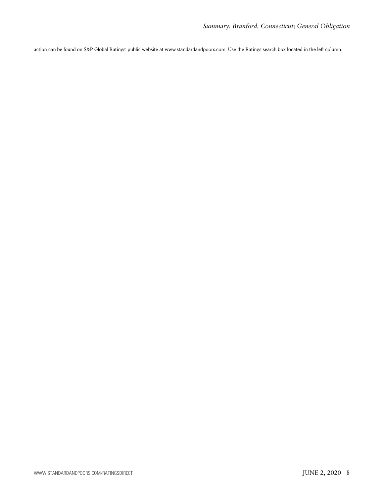action can be found on S&P Global Ratings' public website at www.standardandpoors.com. Use the Ratings search box located in the left column.